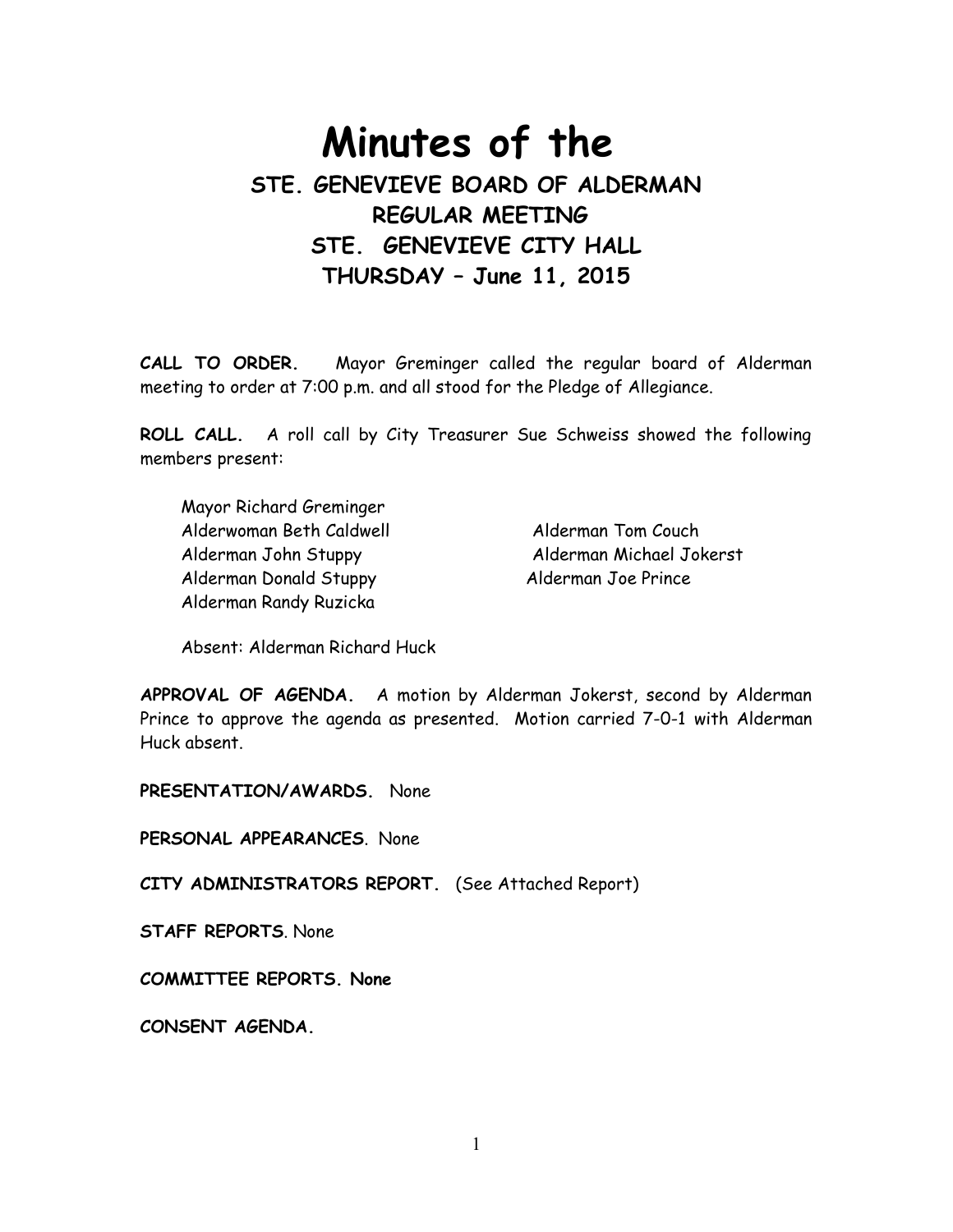# **Minutes of the STE. GENEVIEVE BOARD OF ALDERMAN REGULAR MEETING STE. GENEVIEVE CITY HALL THURSDAY – June 11, 2015**

**CALL TO ORDER.** Mayor Greminger called the regular board of Alderman meeting to order at 7:00 p.m. and all stood for the Pledge of Allegiance.

**ROLL CALL.** A roll call by City Treasurer Sue Schweiss showed the following members present:

 Mayor Richard Greminger Alderwoman Beth Caldwell Alderman Tom Couch Alderman John Stuppy Alderman Michael Jokerst Alderman Donald Stuppy Alderman Joe Prince Alderman Randy Ruzicka

Absent: Alderman Richard Huck

**APPROVAL OF AGENDA.** A motion by Alderman Jokerst, second by Alderman Prince to approve the agenda as presented. Motion carried 7-0-1 with Alderman Huck absent.

**PRESENTATION/AWARDS.** None

**PERSONAL APPEARANCES**. None

**CITY ADMINISTRATORS REPORT.** (See Attached Report)

**STAFF REPORTS**. None

**COMMITTEE REPORTS. None** 

**CONSENT AGENDA.**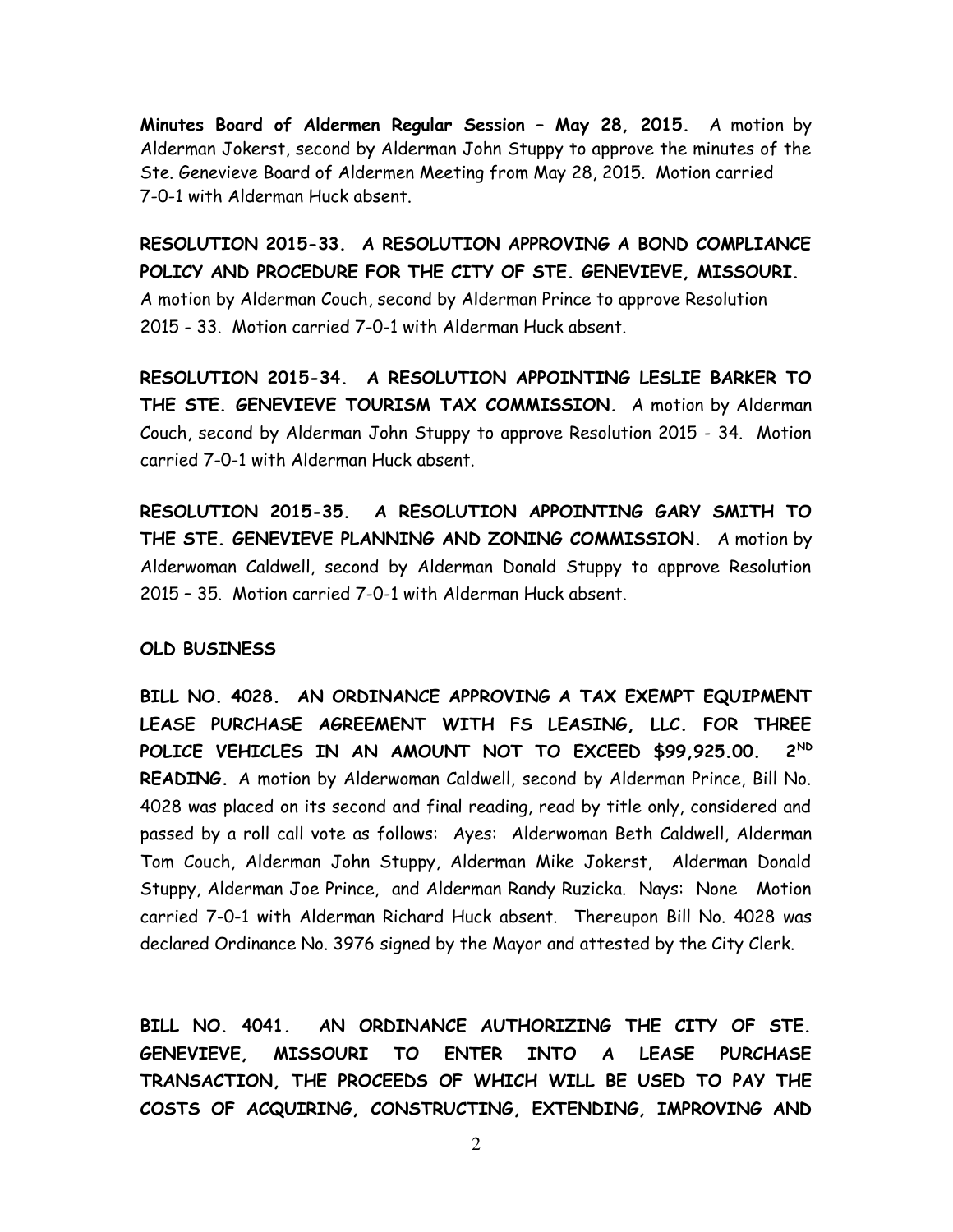**Minutes Board of Aldermen Regular Session – May 28, 2015.** A motion by Alderman Jokerst, second by Alderman John Stuppy to approve the minutes of the Ste. Genevieve Board of Aldermen Meeting from May 28, 2015. Motion carried 7-0-1 with Alderman Huck absent.

**RESOLUTION 2015-33. A RESOLUTION APPROVING A BOND COMPLIANCE POLICY AND PROCEDURE FOR THE CITY OF STE. GENEVIEVE, MISSOURI.** A motion by Alderman Couch, second by Alderman Prince to approve Resolution 2015 - 33. Motion carried 7-0-1 with Alderman Huck absent.

**RESOLUTION 2015-34. A RESOLUTION APPOINTING LESLIE BARKER TO THE STE. GENEVIEVE TOURISM TAX COMMISSION.** A motion by Alderman Couch, second by Alderman John Stuppy to approve Resolution 2015 - 34. Motion carried 7-0-1 with Alderman Huck absent.

**RESOLUTION 2015-35. A RESOLUTION APPOINTING GARY SMITH TO THE STE. GENEVIEVE PLANNING AND ZONING COMMISSION.** A motion by Alderwoman Caldwell, second by Alderman Donald Stuppy to approve Resolution 2015 – 35. Motion carried 7-0-1 with Alderman Huck absent.

#### **OLD BUSINESS**

**BILL NO. 4028. AN ORDINANCE APPROVING A TAX EXEMPT EQUIPMENT LEASE PURCHASE AGREEMENT WITH FS LEASING, LLC. FOR THREE POLICE VEHICLES IN AN AMOUNT NOT TO EXCEED \$99,925.00. 2ND READING.** A motion by Alderwoman Caldwell, second by Alderman Prince, Bill No. 4028 was placed on its second and final reading, read by title only, considered and passed by a roll call vote as follows: Ayes: Alderwoman Beth Caldwell, Alderman Tom Couch, Alderman John Stuppy, Alderman Mike Jokerst, Alderman Donald Stuppy, Alderman Joe Prince, and Alderman Randy Ruzicka. Nays: None Motion carried 7-0-1 with Alderman Richard Huck absent. Thereupon Bill No. 4028 was declared Ordinance No. 3976 signed by the Mayor and attested by the City Clerk.

**BILL NO. 4041. AN ORDINANCE AUTHORIZING THE CITY OF STE. GENEVIEVE, MISSOURI TO ENTER INTO A LEASE PURCHASE TRANSACTION, THE PROCEEDS OF WHICH WILL BE USED TO PAY THE COSTS OF ACQUIRING, CONSTRUCTING, EXTENDING, IMPROVING AND**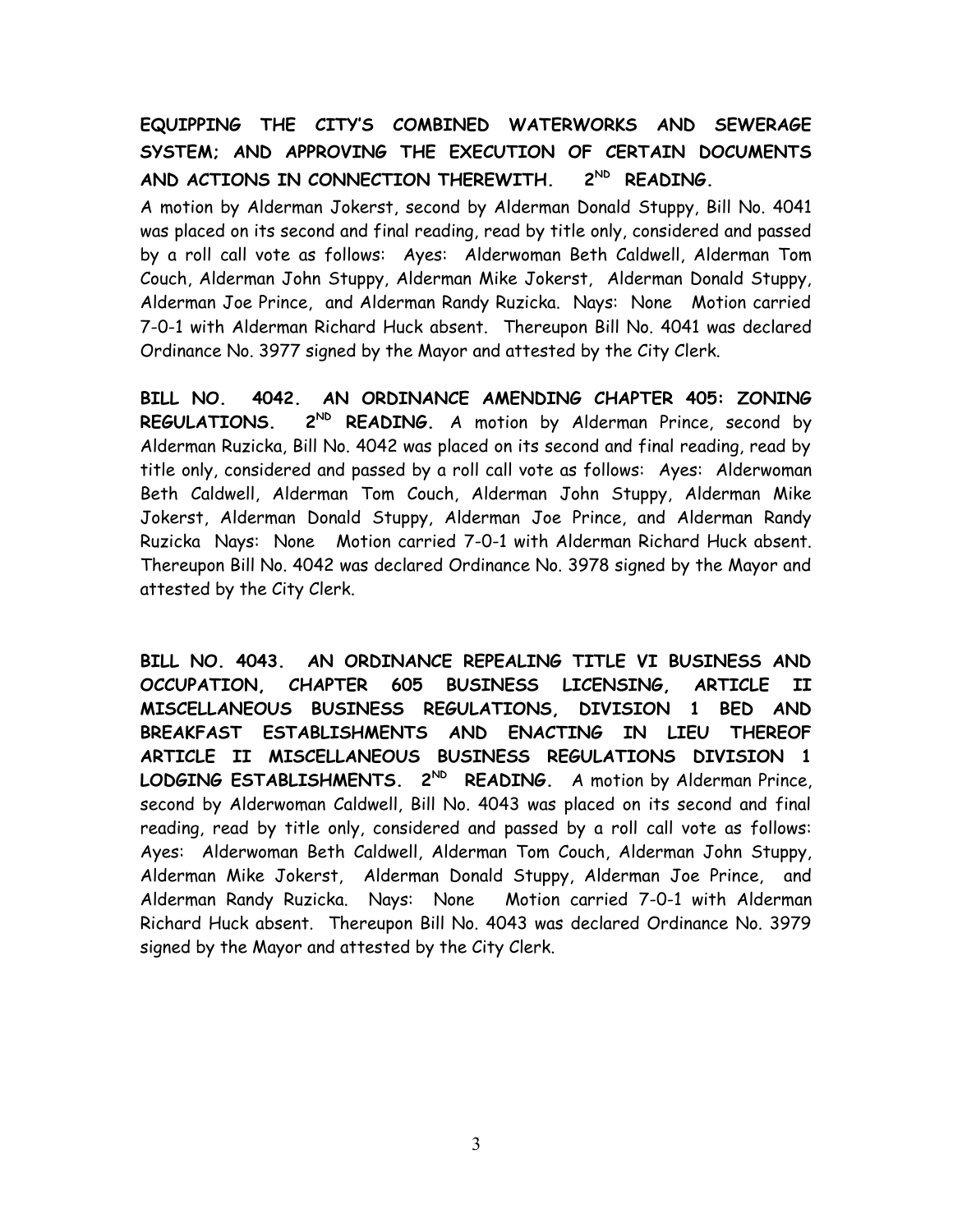# **EQUIPPING THE CITY'S COMBINED WATERWORKS AND SEWERAGE SYSTEM; AND APPROVING THE EXECUTION OF CERTAIN DOCUMENTS AND ACTIONS IN CONNECTION THEREWITH. 2ND READING.**

A motion by Alderman Jokerst, second by Alderman Donald Stuppy, Bill No. 4041 was placed on its second and final reading, read by title only, considered and passed by a roll call vote as follows: Ayes: Alderwoman Beth Caldwell, Alderman Tom Couch, Alderman John Stuppy, Alderman Mike Jokerst, Alderman Donald Stuppy, Alderman Joe Prince, and Alderman Randy Ruzicka. Nays: None Motion carried 7-0-1 with Alderman Richard Huck absent. Thereupon Bill No. 4041 was declared Ordinance No. 3977 signed by the Mayor and attested by the City Clerk.

**BILL NO. 4042. AN ORDINANCE AMENDING CHAPTER 405: ZONING REGULATIONS. 2ND READING.** A motion by Alderman Prince, second by Alderman Ruzicka, Bill No. 4042 was placed on its second and final reading, read by title only, considered and passed by a roll call vote as follows: Ayes: Alderwoman Beth Caldwell, Alderman Tom Couch, Alderman John Stuppy, Alderman Mike Jokerst, Alderman Donald Stuppy, Alderman Joe Prince, and Alderman Randy Ruzicka Nays: None Motion carried 7-0-1 with Alderman Richard Huck absent. Thereupon Bill No. 4042 was declared Ordinance No. 3978 signed by the Mayor and attested by the City Clerk.

**BILL NO. 4043. AN ORDINANCE REPEALING TITLE VI BUSINESS AND OCCUPATION, CHAPTER 605 BUSINESS LICENSING, ARTICLE II MISCELLANEOUS BUSINESS REGULATIONS, DIVISION 1 BED AND BREAKFAST ESTABLISHMENTS AND ENACTING IN LIEU THEREOF ARTICLE II MISCELLANEOUS BUSINESS REGULATIONS DIVISION 1 LODGING ESTABLISHMENTS. 2ND READING.** A motion by Alderman Prince, second by Alderwoman Caldwell, Bill No. 4043 was placed on its second and final reading, read by title only, considered and passed by a roll call vote as follows: Ayes: Alderwoman Beth Caldwell, Alderman Tom Couch, Alderman John Stuppy, Alderman Mike Jokerst, Alderman Donald Stuppy, Alderman Joe Prince, and Alderman Randy Ruzicka. Nays: None Motion carried 7-0-1 with Alderman Richard Huck absent. Thereupon Bill No. 4043 was declared Ordinance No. 3979 signed by the Mayor and attested by the City Clerk.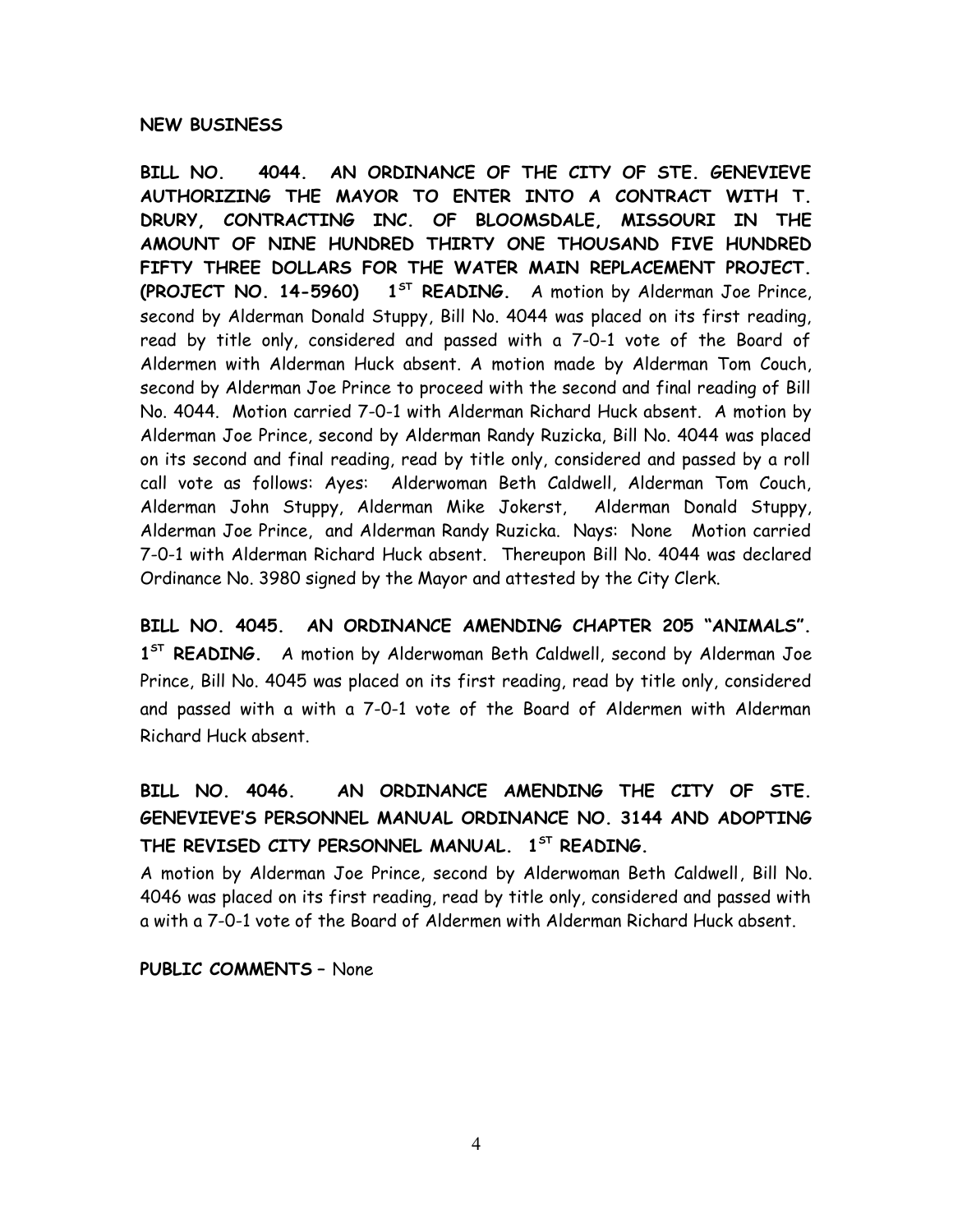### **NEW BUSINESS**

**BILL NO. 4044. AN ORDINANCE OF THE CITY OF STE. GENEVIEVE AUTHORIZING THE MAYOR TO ENTER INTO A CONTRACT WITH T. DRURY, CONTRACTING INC. OF BLOOMSDALE, MISSOURI IN THE AMOUNT OF NINE HUNDRED THIRTY ONE THOUSAND FIVE HUNDRED FIFTY THREE DOLLARS FOR THE WATER MAIN REPLACEMENT PROJECT. (PROJECT NO. 14-5960) 1ST READING.** A motion by Alderman Joe Prince, second by Alderman Donald Stuppy, Bill No. 4044 was placed on its first reading, read by title only, considered and passed with a 7-0-1 vote of the Board of Aldermen with Alderman Huck absent. A motion made by Alderman Tom Couch, second by Alderman Joe Prince to proceed with the second and final reading of Bill No. 4044. Motion carried 7-0-1 with Alderman Richard Huck absent. A motion by Alderman Joe Prince, second by Alderman Randy Ruzicka, Bill No. 4044 was placed on its second and final reading, read by title only, considered and passed by a roll call vote as follows: Ayes: Alderwoman Beth Caldwell, Alderman Tom Couch, Alderman John Stuppy, Alderman Mike Jokerst, Alderman Donald Stuppy, Alderman Joe Prince, and Alderman Randy Ruzicka. Nays: None Motion carried 7-0-1 with Alderman Richard Huck absent. Thereupon Bill No. 4044 was declared Ordinance No. 3980 signed by the Mayor and attested by the City Clerk.

**BILL NO. 4045. AN ORDINANCE AMENDING CHAPTER 205 "ANIMALS". 1 ST READING.** A motion by Alderwoman Beth Caldwell, second by Alderman Joe Prince, Bill No. 4045 was placed on its first reading, read by title only, considered and passed with a with a 7-0-1 vote of the Board of Aldermen with Alderman Richard Huck absent.

# **BILL NO. 4046. AN ORDINANCE AMENDING THE CITY OF STE. GENEVIEVE'S PERSONNEL MANUAL ORDINANCE NO. 3144 AND ADOPTING THE REVISED CITY PERSONNEL MANUAL. 1ST READING.**

A motion by Alderman Joe Prince, second by Alderwoman Beth Caldwell, Bill No. 4046 was placed on its first reading, read by title only, considered and passed with a with a 7-0-1 vote of the Board of Aldermen with Alderman Richard Huck absent.

**PUBLIC COMMENTS –** None